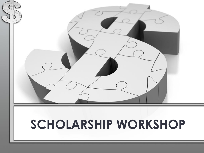

## **SCHOLARSHIP WORKSHOP**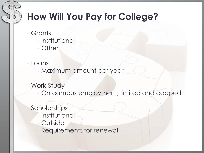### **How Will You Pay for College?**

- **Grants** 
	- Institutional
	- **Other**
- Loans
	- Maximum amount per year
	- Work-Study
		- On campus employment, limited and capped

**Scholarships Institutional Outside** Requirements for renewal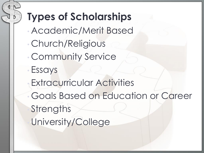# **Types of Scholarships**

• Academic/Merit Based • Church/Religious • Community Service • Essays **Extracurricular Activities** • Goals Based on Education or Career **Strengths** University/College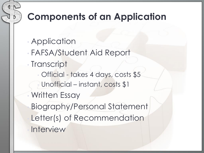### **Components of an Application**

- Application
- FAFSA/Student Aid Report
- Transcript
- Official takes 4 days, costs \$5 Unofficial – instant, costs \$1 • Written Essay • Biography/Personal Statement
	- Letter(s) of Recommendation
	- **Interview**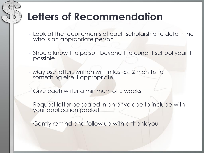### **Letters of Recommendation**

- Look at the requirements of each scholarship to determine who is an appropriate person
- Should know the person beyond the current school year if possible
- May use letters written within last 6-12 months for something else if appropriate
	- Give each writer a minimum of 2 weeks
- Request letter be sealed in an envelope to include with your application packet

• Gently remind and follow up with a thank you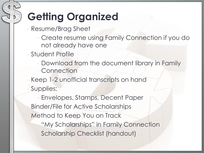## **Getting Organized**

- Resume/Brag Sheet
	- Create resume using Family Connection if you do not already have one
- Student Profile
	- Download from the document library in Family Connection

• Keep 1-2 unofficial transcripts on hand • Supplies:

• Envelopes, Stamps, Decent Paper • Binder/File for Active Scholarships Method to Keep You on Track • "My Scholarships" in Family Connection • Scholarship Checklist (handout)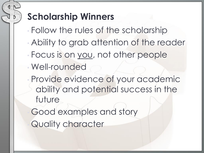### **Scholarship Winners**

- Follow the rules of the scholarship
- Ability to grab attention of the reader
- Focus is on you, not other people
- Well-rounded
- Provide evidence of your academic ability and potential success in the future

Good examples and story

Quality character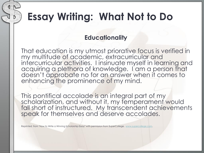### **Essay Writing: What Not to Do**

### **Educationality**

That education is my utmost priorative focus is verified in my multitude of academic, extracurricular and intercurricular activities. I insinuate myself in learning and acquiring a plethora of knowledge. I am a person that doesn't approbate no for an answer when it comes to enhancing the prominence of my mind.

This pontifical accolade is an integral part of my scholarization, and without it, my temperament would fall short of instructured. My transcendent achievements speak for themselves and deserve accolades.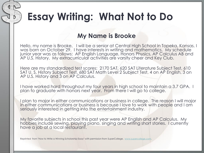### **Essay Writing: What Not to Do**

### **My Name is Brooke**

Hello, my name is Brooke. I will be a senior at Central High School in Topeka, Kansas. I was born on October 29. I have interests in writing and mathematics. My schedule junior year was as follows: AP English Language, Honors Physics, AP Calculus AB and AP U.S. History. My extracurricular activities are varsity cheer and Key Club.

Here are my standardized test scores: 2170 SAT, 620 SAT Literature Subject Test, 610 SAT U. S. History Subject Test, 680 SAT Math Level 2 Subject Test, 4 on AP English, 3 on AP U.S. History and 3 on AP Calculus.

I have worked hard throughout my four years in high school to maintain a 3.7 GPA. I plan to graduate with honors next year. From there I will go to college.

I plan to major in either communications or business in college. The reason I will major in either communications or business is because I love to work with people and I am seriously interested in getting into the entertainment industry.

My favorite subjects in school this past year were AP English and AP Calculus. My hobbies include sewing, playing piano, singing and writing short stories. I currently have a job at a local restaurant.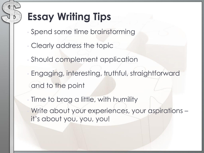# **Essay Writing Tips**

- Spend some time brainstorming
- Clearly address the topic
- Should complement application
- Engaging, interesting, truthful, straightforward and to the point
- Time to brag a little, with humility Write about your experiences, your aspirations it's about you, you, you!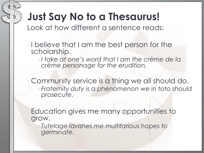### **Just Say No to a Thesaurus!**

Look at how different a sentence reads:

- I believe that I am the best person for the scholarship.
	- *I take at one's word that I am the crème de la crème personage for the erudition.*

Community service is a thing we all should do. *Fraternity duty is a phenomenon we in toto should prosecute.*

Education gives me many opportunities to grow.

*Tutelage lavishes me multifarious hopes to germinate.*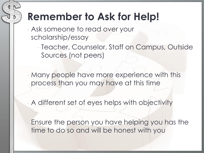### **Remember to Ask for Help!**

- Ask someone to read over your scholarship/essay
	- Teacher, Counselor, Staff on Campus, Outside Sources (not peers)

• Many people have more experience with this process than you may have at this time

• A different set of eyes helps with objectivity

Ensure the person you have helping you has the time to do so and will be honest with you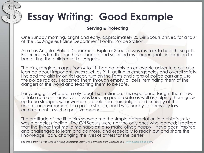## **Essay Writing: Good Example**

#### **Serving & Protecting**

One Sunday morning, bright and early, approximately 25 Girl Scouts arrived for a tour of the Los Angeles Police Department Foothill Police Station.

As a Los Angeles Police Department Explorer Scout, it was my task to help these girls. Experiences like this one have shaped and solidified my career goals, in addition to benefitting the children of Los Angeles.

The girls, ranging in ages from 4 to 11, had not only an enjoyable adventure but also learned about important issues such as 911, acting in emergencies and overall safety. I helped the girls try on riot gear, turn on the lights and sirens of police cars and use the police radios. I escorted them through empty jail cells, reminding them of the dangers of the world and teaching them to be safe.

For young girls who are rarely taught self-reliance, this experience taught them how to take care of themselves. I was keeping people safe as well as helping them grow up to be stronger, wiser women. I could see their delight and curiosity at the unfamiliar environment of a police station, and I was happy to demystify law enforcement in such a positive manner.

The gratitude of the little girls showed me the simple appreciation in a child's smile was a priceless feeling. The Girl Scouts were not the only ones who learned; I realized that the things that make me happiest also make others happy. I have been inspired and challenged to learn and do more, and especially to reach out and share the knowledge I can, changing the lives of others for the better.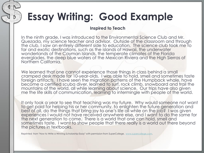### **Essay Writing: Good Example**

#### **Inspired to Teach**

In the ninth grade, I was introduced to the Environmental Science Club and Mr. Quezada, my science teacher and advisor. Outside of the classroom and through the club, I saw an entirely different side to education. The science club took me to far and exotic destinations, such as the islands of Hawaii, the underwater wonderlands of the Cayman Islands, the temperate climates of the Florida everglades, the deep blue waters of the Mexican Riviera and the High Sierras of Northern California.

We learned that one cannot experience those things in class behind a small cramped desk made for 10-year-olds. I was able to hold, smell and sometimes taste foreign artifacts. I have seen the migration patterns of the Humpback whale, have become a certified scuba diver, learned to surf, rock climb, snowboard and trail the mountains of the world, all while learning about science. Our trips have also given me the life skills of communication, learning to intermingle with people of the world.

It only took a year to see that teaching was my future. Why would someone not want to get paid for helping his or her community, to enlighten the future generation and best of all, do the things that bring joy to one's life all while on the job? I was given experiences I would not have received anywhere else, and I want to do the same for the next generation to come. There is a world that one can hold, smell and sometimes taste. I want to show people that there really is a world out there beyond the pictures in textbooks.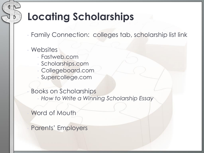### **Locating Scholarships**

• Family Connection: colleges tab, scholarship list link

### **Websites**

- Fastweb.com
- Scholarships.com
- Collegeboard.com
- Supercollege.com

• Books on Scholarships • *How to Write a Winning Scholarship Essay*

Word of Mouth

• Parents' Employers